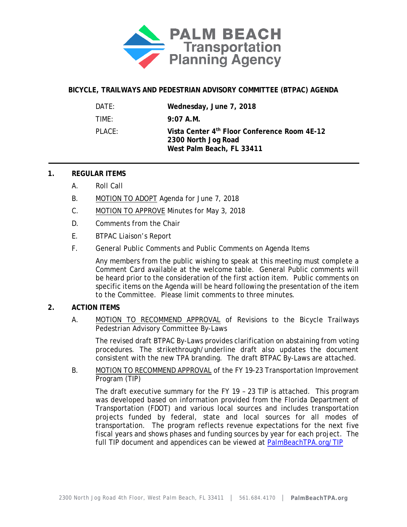

# **BICYCLE, TRAILWAYS AND PEDESTRIAN ADVISORY COMMITTEE (BTPAC) AGENDA**

| DATF:     | Wednesday, June 7, 2018                                                                          |
|-----------|--------------------------------------------------------------------------------------------------|
| TIMF:     | $9:07$ A.M.                                                                                      |
| $PI$ ACF: | Vista Center 4th Floor Conference Room 4E-12<br>2300 North Jog Road<br>West Palm Beach, FL 33411 |

### **1. REGULAR ITEMS**

- A. Roll Call
- B. MOTION TO ADOPT Agenda for June 7, 2018
- C. MOTION TO APPROVE Minutes for May 3, 2018
- D. Comments from the Chair
- E. BTPAC Liaison's Report
- F. General Public Comments and Public Comments on Agenda Items

Any members from the public wishing to speak at this meeting must complete a Comment Card available at the welcome table. General Public comments will be heard prior to the consideration of the first action item. Public comments on specific items on the Agenda will be heard following the presentation of the item to the Committee. Please limit comments to three minutes.

## **2. ACTION ITEMS**

A. MOTION TO RECOMMEND APPROVAL of Revisions to the Bicycle Trailways Pedestrian Advisory Committee By-Laws

The revised draft BTPAC By-Laws provides clarification on abstaining from voting procedures. The strikethrough/underline draft also updates the document consistent with the new TPA branding. The draft BTPAC By-Laws are attached.

B. MOTION TO RECOMMEND APPROVAL of the FY 19-23 Transportation Improvement Program (TIP)

The draft executive summary for the FY 19 – 23 TIP is attached. This program was developed based on information provided from the Florida Department of Transportation (FDOT) and various local sources and includes transportation projects funded by federal, state and local sources for all modes of transportation. The program reflects revenue expectations for the next five fiscal years and shows phases and funding sources by year for each project. The full TIP document and appendices can be viewed at [PalmBeachTPA.org/TIP](http://www.palmbeachtpa.org/TIP)